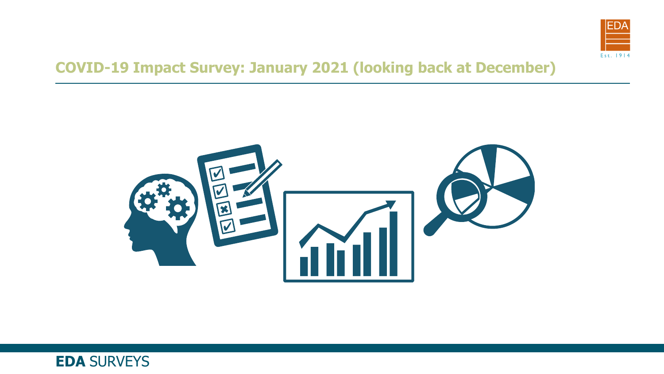

#### **COVID-19 Impact Survey: January 2021 (looking back at December)**



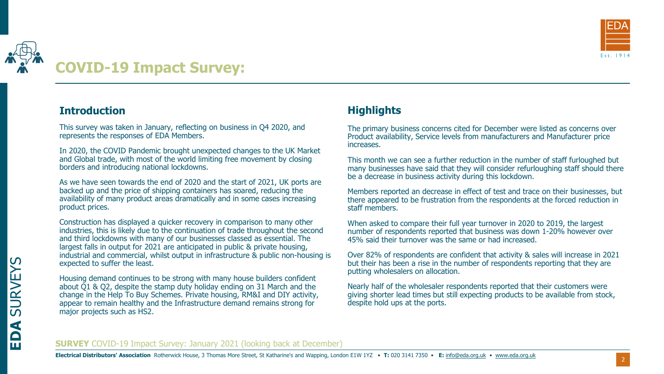

## **COVID-19 Impact Survey:**

#### **Introduction**

This survey was taken in January, reflecting on business in Q4 2020, and represents the responses of EDA Members.

In 2020, the COVID Pandemic brought unexpected changes to the UK Market and Global trade, with most of the world limiting free movement by closing borders and introducing national lockdowns.

As we have seen towards the end of 2020 and the start of 2021, UK ports are backed up and the price of shipping containers has soared, reducing the availability of many product areas dramatically and in some cases increasing product prices.

Construction has displayed a quicker recovery in comparison to many other industries, this is likely due to the continuation of trade throughout the second and third lockdowns with many of our businesses classed as essential. The largest falls in output for 2021 are anticipated in public & private housing, industrial and commercial, whilst output in infrastructure & public non-housing is expected to suffer the least.

Housing demand continues to be strong with many house builders confident about Q1 & Q2, despite the stamp duty holiday ending on 31 March and the change in the Help To Buy Schemes. Private housing, RM&I and DIY activity, appear to remain healthy and the Infrastructure demand remains strong for major projects such as HS2.

#### **Highlights**

The primary business concerns cited for December were listed as concerns over Product availability, Service levels from manufacturers and Manufacturer price increases.

This month we can see a further reduction in the number of staff furloughed but many businesses have said that they will consider refurloughing staff should there be a decrease in business activity during this lockdown.

Members reported an decrease in effect of test and trace on their businesses, but there appeared to be frustration from the respondents at the forced reduction in staff members.

When asked to compare their full year turnover in 2020 to 2019, the largest number of respondents reported that business was down 1-20% however over 45% said their turnover was the same or had increased.

Over 82% of respondents are confident that activity & sales will increase in 2021 but their has been a rise in the number of respondents reporting that they are putting wholesalers on allocation.

Nearly half of the wholesaler respondents reported that their customers were giving shorter lead times but still expecting products to be available from stock, despite hold ups at the ports.

#### **SURVEY** COVID-19 Impact Survey: January 2021 (looking back at December)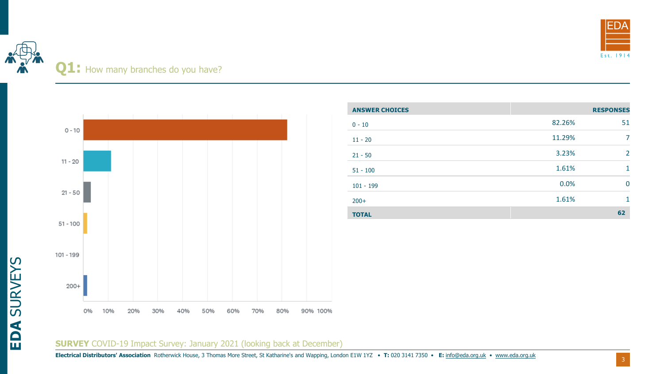

## Q1: How many branches do you have?



| <b>ANSWER CHOICES</b> |        | <b>RESPONSES</b> |
|-----------------------|--------|------------------|
| $0 - 10$              | 82.26% | 51               |
| $11 - 20$             | 11.29% | 7                |
| $21 - 50$             | 3.23%  | $\overline{2}$   |
| $51 - 100$            | 1.61%  | 1                |
| $101 - 199$           | 0.0%   | $\overline{0}$   |
| $200+$                | 1.61%  | 1                |
| <b>TOTAL</b>          |        | 62               |

#### **SURVEY** COVID-19 Impact Survey: January 2021 (looking back at December)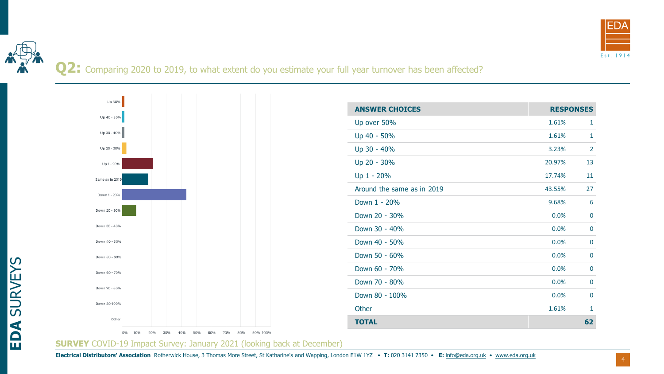

**Q2:** Comparing 2020 to 2019, to what extent do you estimate your full year turnover has been affected?



**SURVEY** COVID-19 Impact Survey: January 2021 (looking back at December)

**EDA** SURVEYS

4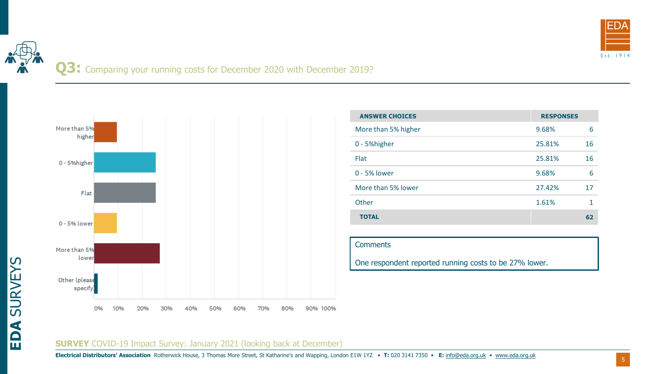

Q3: Comparing your running costs for December 2020 with December 2019?



| <b>ANSWER CHOICES</b> | <b>RESPONSES</b> |    |
|-----------------------|------------------|----|
| More than 5% higher   | 9.68%            | 6  |
| 0 - 5% higher         | 25.81%           | 16 |
| <b>Flat</b>           | 25.81%           | 16 |
| 0 - 5% lower          | 9.68%            | 6  |
| More than 5% lower    | 27.42%           | 17 |
| Other                 | 1.61%            |    |
| <b>TOTAL</b>          |                  | 62 |

#### **Comments**

One respondent reported running costs to be 27% lower.

#### **SURVEY** COVID-19 Impact Survey: January 2021 (looking back at December)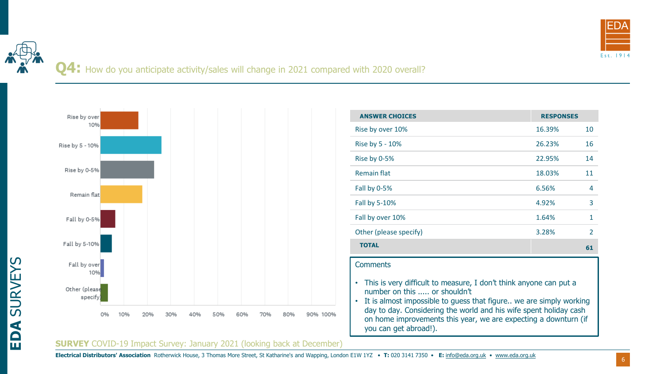

**Q4:** How do you anticipate activity/sales will change in 2021 compared with 2020 overall?



| <b>ANSWER CHOICES</b>  | <b>RESPONSES</b> |                |
|------------------------|------------------|----------------|
| Rise by over 10%       | 16.39%           | 10             |
| Rise by 5 - 10%        | 26.23%           | 16             |
| Rise by 0-5%           | 22.95%           | 14             |
| <b>Remain flat</b>     | 18.03%           | 11             |
| Fall by 0-5%           | 6.56%            | 4              |
| Fall by 5-10%          | 4.92%            | 3              |
| Fall by over 10%       | 1.64%            | 1              |
| Other (please specify) | 3.28%            | $\mathfrak{D}$ |
| <b>TOTAL</b>           |                  | 61             |

#### **Comments**

- This is very difficult to measure, I don't think anyone can put a number on this ..... or shouldn't
- It is almost impossible to guess that figure.. we are simply working day to day. Considering the world and his wife spent holiday cash on home improvements this year, we are expecting a downturn (if you can get abroad!).

#### **SURVEY** COVID-19 Impact Survey: January 2021 (looking back at December)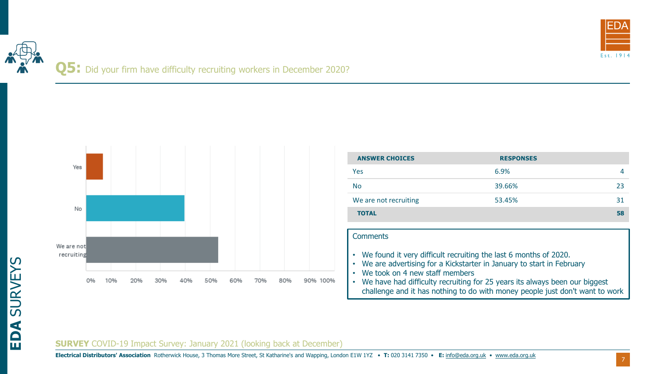

## **Q5:** Did your firm have difficulty recruiting workers in December 2020?



| <b>ANSWER CHOICES</b> | <b>RESPONSES</b> |    |
|-----------------------|------------------|----|
| Yes.                  | 6.9%             |    |
| <b>No</b>             | 39.66%           | 23 |
| We are not recruiting | 53.45%           | 31 |
| <b>TOTAL</b>          |                  | 58 |

#### **Comments**

- We found it very difficult recruiting the last 6 months of 2020.
- We are advertising for a Kickstarter in January to start in February
- We took on 4 new staff members
- We have had difficulty recruiting for 25 years its always been our biggest challenge and it has nothing to do with money people just don't want to work

#### **SURVEY** COVID-19 Impact Survey: January 2021 (looking back at December)

**Electrical Distributors' Association** Rotherwick House, 3 Thomas More Street, St Katharine's and Wapping, London E1W 1YZ • **T:** 020 3141 7350 • **E:** [info@eda.org.uk](mailto:info@eda.org.uk) • [www.eda.org.uk](https://www.eda.org.uk/)

7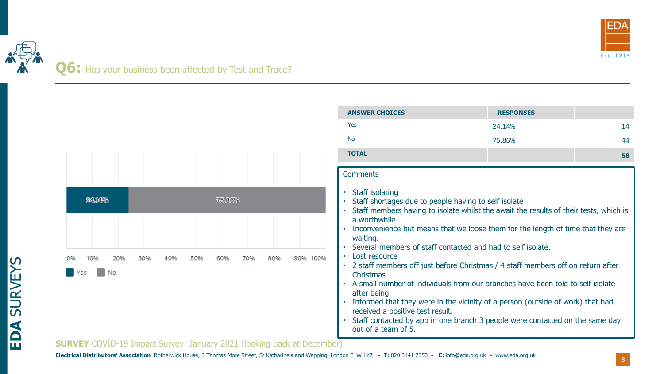

## **Q6:** Has your business been affected by Test and Trace?

| <b>TOTAL</b><br><b>Comments</b><br>Staff isolating<br>24.14%<br>75.86%<br>Staff shortages due to people having to self isolate<br>Staff members having to isolate whilst the await the results of their tests, which is<br>a worthwhile<br>Inconvenience but means that we loose them for the length of time that they are<br>waiting.<br>Several members of staff contacted and had to self isolate.<br>• Lost resource<br>90% 100%<br>40%<br>50%<br>70%<br>80%<br>• 2 staff members off just before Christmas / 4 staff members off on return after<br>No<br><b>Christmas</b><br>• A small number of individuals from our branches have been told to self isolate<br>after being<br>Informed that they were in the vicinity of a person (outside of work) that had<br>received a positive test result. |                                                                               |  | <b>No</b> | 75.86% | 44 |
|----------------------------------------------------------------------------------------------------------------------------------------------------------------------------------------------------------------------------------------------------------------------------------------------------------------------------------------------------------------------------------------------------------------------------------------------------------------------------------------------------------------------------------------------------------------------------------------------------------------------------------------------------------------------------------------------------------------------------------------------------------------------------------------------------------|-------------------------------------------------------------------------------|--|-----------|--------|----|
|                                                                                                                                                                                                                                                                                                                                                                                                                                                                                                                                                                                                                                                                                                                                                                                                          |                                                                               |  |           |        | 58 |
|                                                                                                                                                                                                                                                                                                                                                                                                                                                                                                                                                                                                                                                                                                                                                                                                          |                                                                               |  |           |        |    |
| Staff contacted by app in one branch 3 people were contacted on the same day<br>out of a team of 5.                                                                                                                                                                                                                                                                                                                                                                                                                                                                                                                                                                                                                                                                                                      |                                                                               |  |           |        |    |
|                                                                                                                                                                                                                                                                                                                                                                                                                                                                                                                                                                                                                                                                                                                                                                                                          | <b>SURVEY</b> COVID-19 Impact Survey: January 2021 (looking back at December) |  |           |        |    |

**ANSWER CHOICES RESPONSES**

 $Yes$  24.14%  $24.14\%$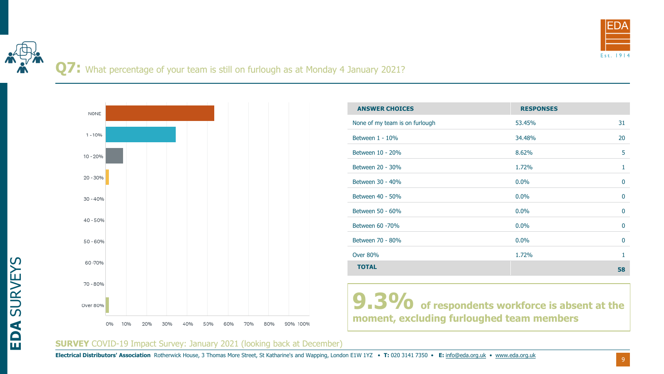

**Q7:** What percentage of your team is still on furlough as at Monday 4 January 2021?



| <b>ANSWER CHOICES</b>          | <b>RESPONSES</b> |              |
|--------------------------------|------------------|--------------|
| None of my team is on furlough | 53.45%           | 31           |
| Between $1 - 10\%$             | 34.48%           | 20           |
| Between 10 - 20%               | 8.62%            | 5            |
| Between 20 - 30%               | 1.72%            | 1            |
| Between 30 - 40%               | 0.0%             | 0            |
| Between 40 - 50%               | 0.0%             | $\mathbf{0}$ |
| Between 50 - 60%               | 0.0%             | $\mathbf{0}$ |
| Between 60 -70%                | 0.0%             | 0            |
| Between 70 - 80%               | 0.0%             | 0            |
| <b>Over 80%</b>                | 1.72%            | 1            |
| <b>TOTAL</b>                   |                  | 58           |

**9.3%** of respondents workforce is absent at the **moment, excluding furloughed team members**

#### **SURVEY** COVID-19 Impact Survey: January 2021 (looking back at December)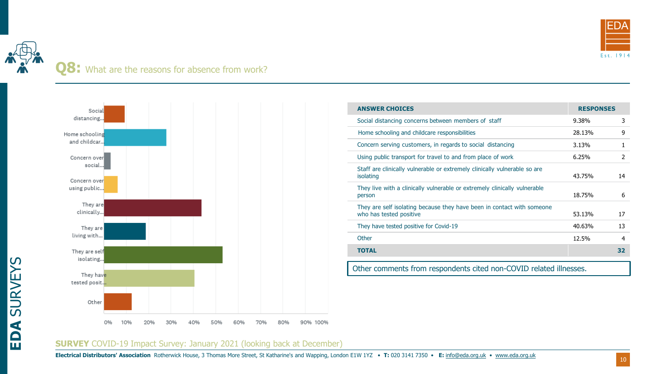

### **Q8:** What are the reasons for absence from work?



| <b>ANSWER CHOICES</b>                                                                             | <b>RESPONSES</b> |    |
|---------------------------------------------------------------------------------------------------|------------------|----|
| Social distancing concerns between members of staff                                               | 9.38%            | 3  |
| Home schooling and childcare responsibilities                                                     | 28.13%           | 9  |
| Concern serving customers, in regards to social distancing                                        | 3.13%            | 1  |
| Using public transport for travel to and from place of work                                       | 6.25%            | 2  |
| Staff are clinically vulnerable or extremely clinically vulnerable so are<br>isolating            | 43.75%           | 14 |
| They live with a clinically vulnerable or extremely clinically vulnerable<br>person               | 18.75%           | 6  |
| They are self isolating because they have been in contact with someone<br>who has tested positive | 53.13%           | 17 |
| They have tested positive for Covid-19                                                            | 40.63%           | 13 |
| Other                                                                                             | 12.5%            | 4  |
| <b>TOTAL</b>                                                                                      |                  | 32 |
| Other comments from respondents cited non-COVID related illnesses.                                |                  |    |

#### **SURVEY** COVID-19 Impact Survey: January 2021 (looking back at December)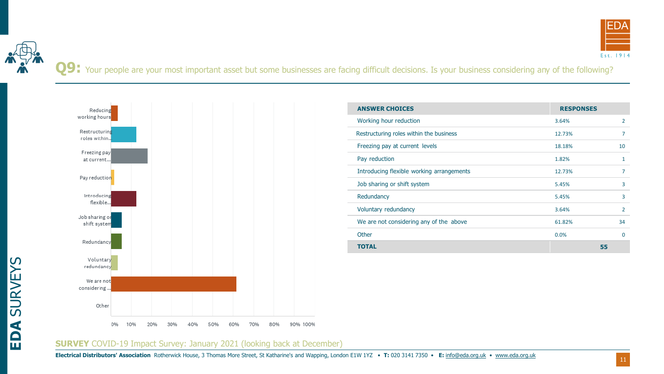

Q9: Your people are your most important asset but some businesses are facing difficult decisions. Is your business considering any of the following?



| <b>ANSWER CHOICES</b>                     | <b>RESPONSES</b> |                |
|-------------------------------------------|------------------|----------------|
| Working hour reduction                    | 3.64%            | 2              |
| Restructuring roles within the business   | 12.73%           | 7              |
| Freezing pay at current levels            | 18.18%           | 10             |
| Pay reduction                             | 1.82%            | 1              |
| Introducing flexible working arrangements | 12.73%           | 7              |
| Job sharing or shift system               | 5.45%            | 3              |
| Redundancy                                | 5.45%            | 3              |
| Voluntary redundancy                      | 3.64%            | $\overline{2}$ |
| We are not considering any of the above   | 61.82%           | 34             |
| Other                                     | 0.0%             | 0              |
| TOTAL                                     |                  | 55             |

#### **SURVEY** COVID-19 Impact Survey: January 2021 (looking back at December)

11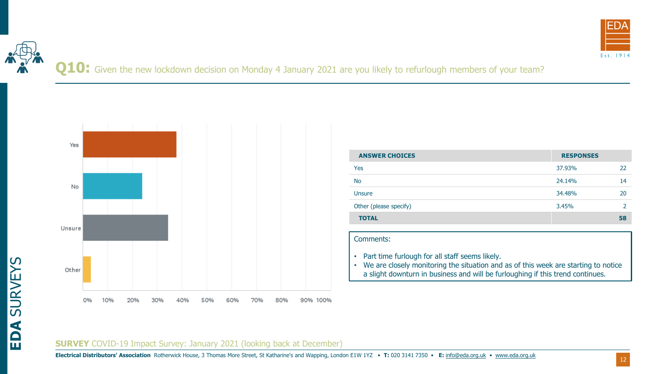

**Q10:** Given the new lockdown decision on Monday 4 January 2021 are you likely to refurlough members of your team?



| <b>ANSWER CHOICES</b>  | <b>RESPONSES</b> |    |
|------------------------|------------------|----|
| Yes                    | 37.93%           | 22 |
| <b>No</b>              | 24.14%           | 14 |
| Unsure                 | 34.48%           | 20 |
| Other (please specify) | 3.45%            |    |
| <b>TOTAL</b>           |                  | 58 |

#### Comments:

- Part time furlough for all staff seems likely.
- We are closely monitoring the situation and as of this week are starting to notice a slight downturn in business and will be furloughing if this trend continues.

#### **SURVEY** COVID-19 Impact Survey: January 2021 (looking back at December)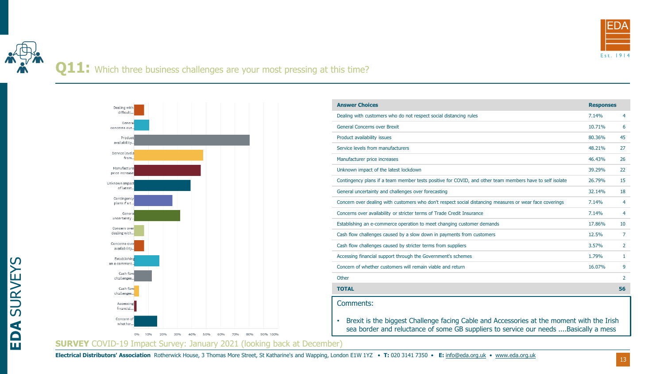

## **Q11:** Which three business challenges are your most pressing at this time?



| <b>Answer Choices</b>                                                                                                                                                                          | <b>Responses</b> |    |
|------------------------------------------------------------------------------------------------------------------------------------------------------------------------------------------------|------------------|----|
| Dealing with customers who do not respect social distancing rules                                                                                                                              | 7.14%            | 4  |
| <b>General Concerns over Brexit</b>                                                                                                                                                            | 10.71%           | 6  |
| Product availability issues                                                                                                                                                                    | 80.36%           | 45 |
| Service levels from manufacturers                                                                                                                                                              | 48.21%           | 27 |
| Manufacturer price increases                                                                                                                                                                   | 46.43%           | 26 |
| Unknown impact of the latest lockdown                                                                                                                                                          | 39.29%           | 22 |
| Contingency plans if a team member tests positive for COVID, and other team members have to self isolate                                                                                       | 26.79%           | 15 |
| General uncertainty and challenges over forecasting                                                                                                                                            | 32.14%           | 18 |
| Concern over dealing with customers who don't respect social distancing measures or wear face coverings                                                                                        | 7.14%            | 4  |
| Concerns over availability or stricter terms of Trade Credit Insurance                                                                                                                         | 7.14%            | 4  |
| Establishing an e-commerce operation to meet changing customer demands                                                                                                                         | 17.86%           | 10 |
| Cash flow challenges caused by a slow down in payments from customers                                                                                                                          | 12.5%            | 7  |
| Cash flow challenges caused by stricter terms from suppliers                                                                                                                                   | 3.57%            | 2  |
| Accessing financial support through the Government's schemes                                                                                                                                   | 1.79%            | 1  |
| Concern of whether customers will remain viable and return                                                                                                                                     | 16.07%           | 9  |
| Other                                                                                                                                                                                          |                  | 2  |
| <b>TOTAL</b>                                                                                                                                                                                   |                  | 56 |
| Comments:                                                                                                                                                                                      |                  |    |
| Brexit is the biggest Challenge facing Cable and Accessories at the moment with the Irish<br>$\bullet$<br>sea border and reluctance of some GB suppliers to service our needs Basically a mess |                  |    |

**SURVEY** COVID-19 Impact Survey: January 2021 (looking back at December)

**EDA** SURVEYS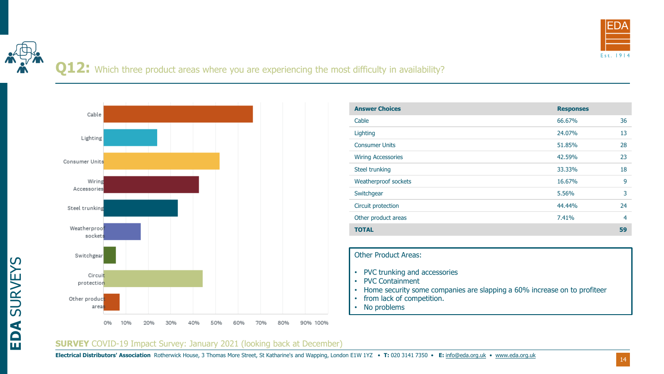

## **Q12:** Which three product areas where you are experiencing the most difficulty in availability?



| <b>Answer Choices</b>     | <b>Responses</b> |    |
|---------------------------|------------------|----|
| Cable                     | 66.67%           | 36 |
| Lighting                  | 24.07%           | 13 |
| <b>Consumer Units</b>     | 51.85%           | 28 |
| <b>Wiring Accessories</b> | 42.59%           | 23 |
| Steel trunking            | 33.33%           | 18 |
| Weatherproof sockets      | 16.67%           | 9  |
| Switchgear                | 5.56%            | 3  |
| Circuit protection        | 44.44%           | 24 |
| Other product areas       | 7.41%            | 4  |
| <b>TOTAL</b>              |                  | 59 |

#### Other Product Areas:

- PVC trunking and accessories
- PVC Containment
- Home security some companies are slapping a 60% increase on to profiteer
- from lack of competition.
- No problems

#### **SURVEY** COVID-19 Impact Survey: January 2021 (looking back at December)

**EDA** SURVEYS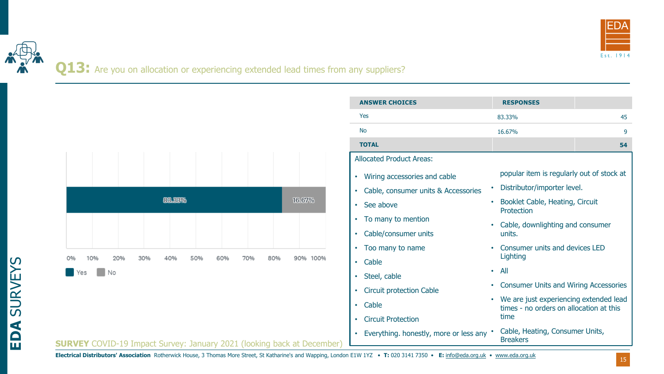

#### Q13: Are you on allocation or experiencing extended lead times from any suppliers?



| <b>SURVEY</b> COVID-19 Impact Survey: January 2021 (looking back at December) |  |
|-------------------------------------------------------------------------------|--|
|-------------------------------------------------------------------------------|--|

| <b>ANSWER CHOICES</b>                            | <b>RESPONSES</b>                                                                                                                                    |  |  |  |
|--------------------------------------------------|-----------------------------------------------------------------------------------------------------------------------------------------------------|--|--|--|
| Yes                                              | 45<br>83.33%                                                                                                                                        |  |  |  |
| <b>No</b>                                        | 9<br>16.67%                                                                                                                                         |  |  |  |
| <b>TOTAL</b>                                     | 54                                                                                                                                                  |  |  |  |
| <b>Allocated Product Areas:</b>                  |                                                                                                                                                     |  |  |  |
| Wiring accessories and cable<br>$\bullet$        | popular item is regularly out of stock at<br>Distributor/importer level.<br>$\bullet$<br>Booklet Cable, Heating, Circuit<br>$\bullet$<br>Protection |  |  |  |
| Cable, consumer units & Accessories<br>$\bullet$ |                                                                                                                                                     |  |  |  |
| See above<br>$\bullet$                           |                                                                                                                                                     |  |  |  |
| To many to mention<br>٠                          | Cable, downlighting and consumer<br>$\bullet$                                                                                                       |  |  |  |
| Cable/consumer units<br>$\bullet$                | units.                                                                                                                                              |  |  |  |
| Too many to name<br>$\bullet$                    | Consumer units and devices LED<br>$\bullet$                                                                                                         |  |  |  |
| Cable<br>$\bullet$                               | Lighting                                                                                                                                            |  |  |  |
| Steel, cable<br>٠                                | All<br>$\bullet$                                                                                                                                    |  |  |  |
| <b>Circuit protection Cable</b><br>۰             | <b>Consumer Units and Wiring Accessories</b>                                                                                                        |  |  |  |
| Cable<br>$\bullet$                               | We are just experiencing extended lead<br>$\bullet$<br>times - no orders on allocation at this                                                      |  |  |  |
| <b>Circuit Protection</b><br>$\bullet$           | time                                                                                                                                                |  |  |  |
| Everything. honestly, more or less any $\cdot$   | Cable, Heating, Consumer Units,<br><b>Breakers</b>                                                                                                  |  |  |  |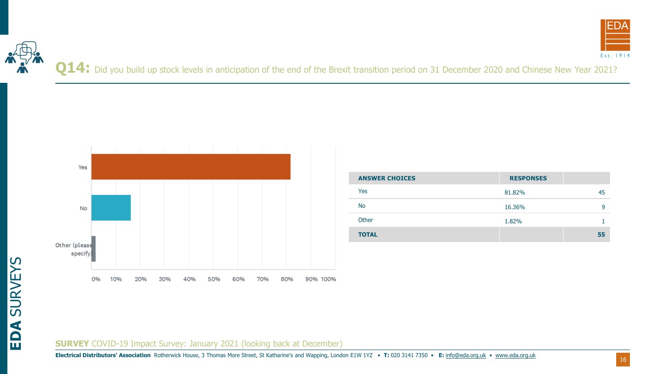



Q14: Did you build up stock levels in anticipation of the end of the Brexit transition period on 31 December 2020 and Chinese New Year 2021?



| <b>ANSWER CHOICES</b> | <b>RESPONSES</b> |    |
|-----------------------|------------------|----|
| Yes                   | 81.82%           | 45 |
| <b>No</b>             | 16.36%           | q  |
| Other                 | 1.82%            |    |
| <b>TOTAL</b>          |                  | 55 |

# **EDA** SURVEYS

#### **SURVEY** COVID-19 Impact Survey: January 2021 (looking back at December)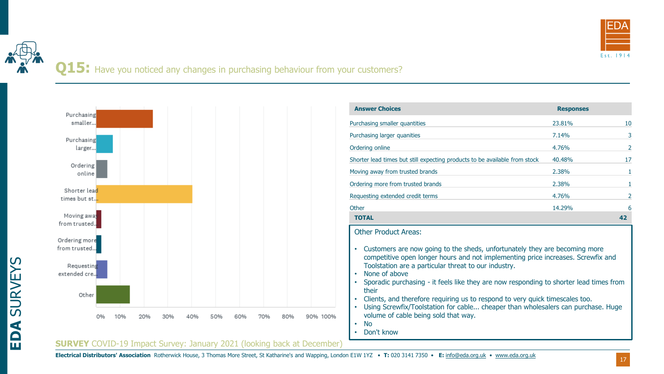

Q15: Have you noticed any changes in purchasing behaviour from your customers?



| <b>Answer Choices</b>                                                                                                                                                                                                                                                                                                                                                                                                                                                                                                                                                                                                                                                               | <b>Responses</b> |    |  |  |  |
|-------------------------------------------------------------------------------------------------------------------------------------------------------------------------------------------------------------------------------------------------------------------------------------------------------------------------------------------------------------------------------------------------------------------------------------------------------------------------------------------------------------------------------------------------------------------------------------------------------------------------------------------------------------------------------------|------------------|----|--|--|--|
| Purchasing smaller quantities                                                                                                                                                                                                                                                                                                                                                                                                                                                                                                                                                                                                                                                       | 23.81%           | 10 |  |  |  |
| Purchasing larger quanities                                                                                                                                                                                                                                                                                                                                                                                                                                                                                                                                                                                                                                                         | 7.14%            | 3  |  |  |  |
| Ordering online                                                                                                                                                                                                                                                                                                                                                                                                                                                                                                                                                                                                                                                                     | 4.76%            | 2  |  |  |  |
| Shorter lead times but still expecting products to be available from stock                                                                                                                                                                                                                                                                                                                                                                                                                                                                                                                                                                                                          | 40.48%           | 17 |  |  |  |
| Moving away from trusted brands                                                                                                                                                                                                                                                                                                                                                                                                                                                                                                                                                                                                                                                     | 2.38%            | 1  |  |  |  |
| Ordering more from trusted brands                                                                                                                                                                                                                                                                                                                                                                                                                                                                                                                                                                                                                                                   | 2.38%            | 1  |  |  |  |
| Requesting extended credit terms                                                                                                                                                                                                                                                                                                                                                                                                                                                                                                                                                                                                                                                    | 4.76%            | 2  |  |  |  |
| Other                                                                                                                                                                                                                                                                                                                                                                                                                                                                                                                                                                                                                                                                               | 14.29%           | 6  |  |  |  |
| <b>TOTAL</b>                                                                                                                                                                                                                                                                                                                                                                                                                                                                                                                                                                                                                                                                        |                  | 42 |  |  |  |
| <b>Other Product Areas:</b><br>Customers are now going to the sheds, unfortunately they are becoming more<br>٠<br>competitive open longer hours and not implementing price increases. Screwfix and<br>Toolstation are a particular threat to our industry.<br>None of above<br>$\bullet$<br>Sporadic purchasing - it feels like they are now responding to shorter lead times from<br>$\bullet$<br>their<br>Clients, and therefore requiring us to respond to very quick timescales too.<br>$\bullet$<br>Using Screwfix/Toolstation for cable cheaper than wholesalers can purchase. Huge<br>$\bullet$<br>volume of cable being sold that way.<br><b>No</b><br>٠<br>Don't know<br>۰ |                  |    |  |  |  |

#### **SURVEY** COVID-19 Impact Survey: January 2021 (looking back at December)

**EDA** SURVEYS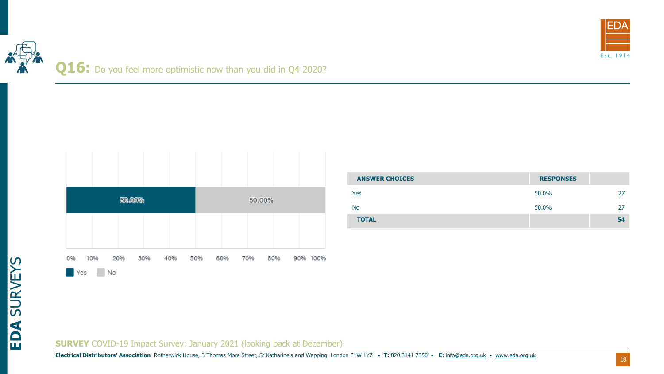

## Q16: Do you feel more optimistic now than you did in Q4 2020?

|           |           | 50.00% |     |     |     |     | 50.00% |     |          |  |
|-----------|-----------|--------|-----|-----|-----|-----|--------|-----|----------|--|
|           |           |        |     |     |     |     |        |     |          |  |
| Э%<br>Yes | 10%<br>No | 20%    | 30% | 40% | 50% | 60% | 70%    | 80% | 90% 100% |  |

| <b>ANSWER CHOICES</b> | <b>RESPONSES</b> |    |
|-----------------------|------------------|----|
| Yes                   | 50.0%            | 27 |
| <b>No</b>             | 50.0%            | 27 |
| <b>TOTAL</b>          |                  | 54 |

#### **SURVEY** COVID-19 Impact Survey: January 2021 (looking back at December)

**Electrical Distributors' Association** Rotherwick House, 3 Thomas More Street, St Katharine's and Wapping, London E1W 1YZ • **T:** 020 3141 7350 • **E:** [info@eda.org.uk](mailto:info@eda.org.uk) • [www.eda.org.uk](https://www.eda.org.uk/)

**EDA** SURVEYS

18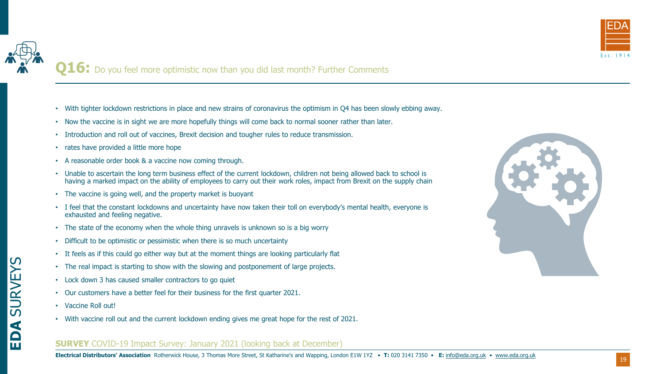

**Q16:** Do you feel more optimistic now than you did last month? Further Comments

- With tighter lockdown restrictions in place and new strains of coronavirus the optimism in Q4 has been slowly ebbing away.
- Now the vaccine is in sight we are more hopefully things will come back to normal sooner rather than later.
- Introduction and roll out of vaccines, Brexit decision and tougher rules to reduce transmission.
- rates have provided a little more hope
- A reasonable order book & a vaccine now coming through.
- Unable to ascertain the long term business effect of the current lockdown, children not being allowed back to school is having a marked impact on the ability of employees to carry out their work roles, impact from Brexit on the supply chain
- The vaccine is going well, and the property market is buoyant
- I feel that the constant lockdowns and uncertainty have now taken their toll on everybody's mental health, everyone is exhausted and feeling negative.
- The state of the economy when the whole thing unravels is unknown so is a big worry
- Difficult to be optimistic or pessimistic when there is so much uncertainty
- It feels as if this could go either way but at the moment things are looking particularly flat
- The real impact is starting to show with the slowing and postponement of large projects.
- Lock down 3 has caused smaller contractors to go quiet
- Our customers have a better feel for their business for the first quarter 2021.
- Vaccine Roll out!
- With vaccine roll out and the current lockdown ending gives me great hope for the rest of 2021.

#### **SURVEY** COVID-19 Impact Survey: January 2021 (looking back at December)



## **EDA** SURVEYS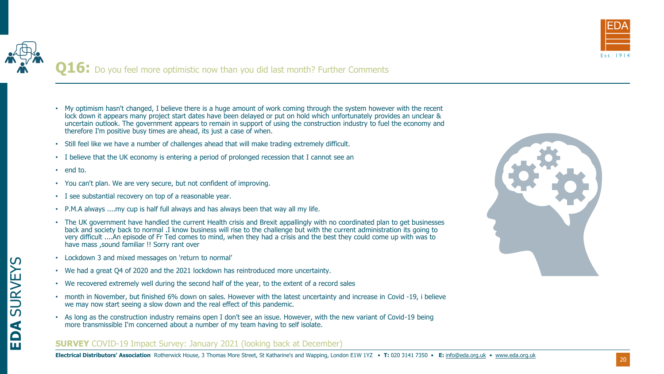

**Q16:** Do you feel more optimistic now than you did last month? Further Comments

- My optimism hasn't changed, I believe there is a huge amount of work coming through the system however with the recent lock down it appears many project start dates have been delayed or put on hold which unfortunately provides an unclear & uncertain outlook. The government appears to remain in support of using the construction industry to fuel the economy and therefore I'm positive busy times are ahead, its just a case of when.
- Still feel like we have a number of challenges ahead that will make trading extremely difficult.
- I believe that the UK economy is entering a period of prolonged recession that I cannot see an
- end to.
- You can't plan. We are very secure, but not confident of improving.
- I see substantial recovery on top of a reasonable year.
- P.M.A always ....my cup is half full always and has always been that way all my life.
- The UK government have handled the current Health crisis and Brexit appallingly with no coordinated plan to get businesses back and society back to normal .I know business will rise to the challenge but with the current administration its going to very difficult ....An episode of Fr Ted comes to mind, when they had a crisis and the best they could come up with was to have mass ,sound familiar !! Sorry rant over
- Lockdown 3 and mixed messages on 'return to normal'
- We had a great Q4 of 2020 and the 2021 lockdown has reintroduced more uncertainty.
- We recovered extremely well during the second half of the year, to the extent of a record sales
- month in November, but finished 6% down on sales. However with the latest uncertainty and increase in Covid -19, i believe we may now start seeing a slow down and the real effect of this pandemic.
- As long as the construction industry remains open I don't see an issue. However, with the new variant of Covid-19 being more transmissible I'm concerned about a number of my team having to self isolate.

#### **SURVEY** COVID-19 Impact Survey: January 2021 (looking back at December)